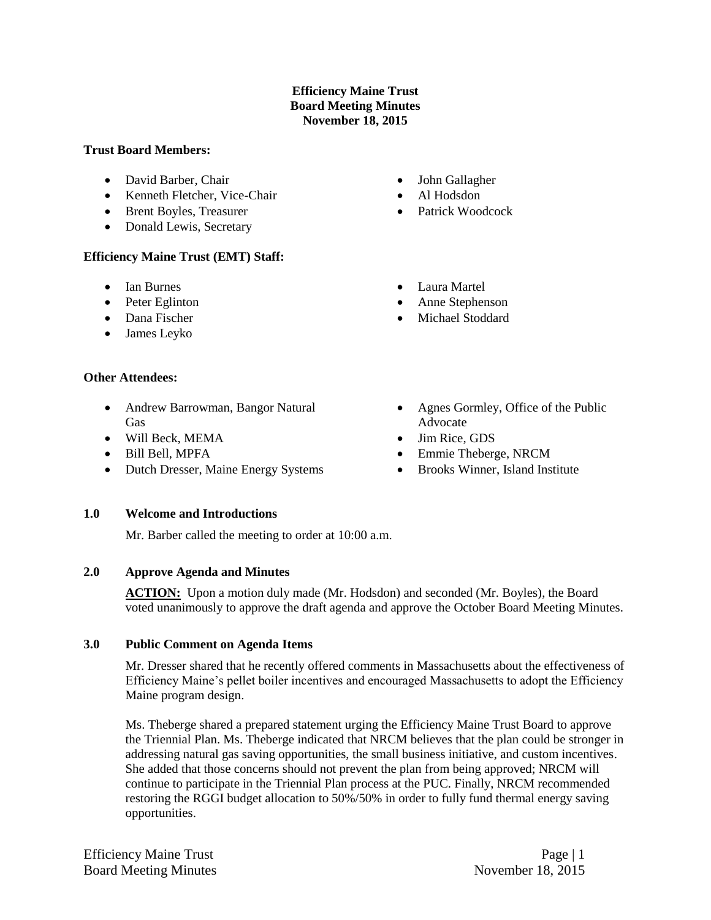# **Efficiency Maine Trust Board Meeting Minutes November 18, 2015**

#### **Trust Board Members:**

- David Barber, Chair
- Kenneth Fletcher, Vice-Chair
- Brent Boyles, Treasurer
- Donald Lewis, Secretary

## **Efficiency Maine Trust (EMT) Staff:**

- Ian Burnes
- Peter Eglinton
- Dana Fischer
- James Leyko

#### **Other Attendees:**

- Andrew Barrowman, Bangor Natural Gas
- Will Beck, MEMA
- Bill Bell, MPFA
- Dutch Dresser, Maine Energy Systems
- John Gallagher
- Al Hodsdon
- Patrick Woodcock
- Laura Martel
- Anne Stephenson
- Michael Stoddard
- Agnes Gormley, Office of the Public Advocate
- Jim Rice, GDS
- Emmie Theberge, NRCM
- Brooks Winner, Island Institute

## **1.0 Welcome and Introductions**

Mr. Barber called the meeting to order at 10:00 a.m.

## **2.0 Approve Agenda and Minutes**

ACTION: Upon a motion duly made (Mr. Hodsdon) and seconded (Mr. Boyles), the Board voted unanimously to approve the draft agenda and approve the October Board Meeting Minutes.

#### **3.0 Public Comment on Agenda Items**

Mr. Dresser shared that he recently offered comments in Massachusetts about the effectiveness of Efficiency Maine's pellet boiler incentives and encouraged Massachusetts to adopt the Efficiency Maine program design.

Ms. Theberge shared a prepared statement urging the Efficiency Maine Trust Board to approve the Triennial Plan. Ms. Theberge indicated that NRCM believes that the plan could be stronger in addressing natural gas saving opportunities, the small business initiative, and custom incentives. She added that those concerns should not prevent the plan from being approved; NRCM will continue to participate in the Triennial Plan process at the PUC. Finally, NRCM recommended restoring the RGGI budget allocation to 50%/50% in order to fully fund thermal energy saving opportunities.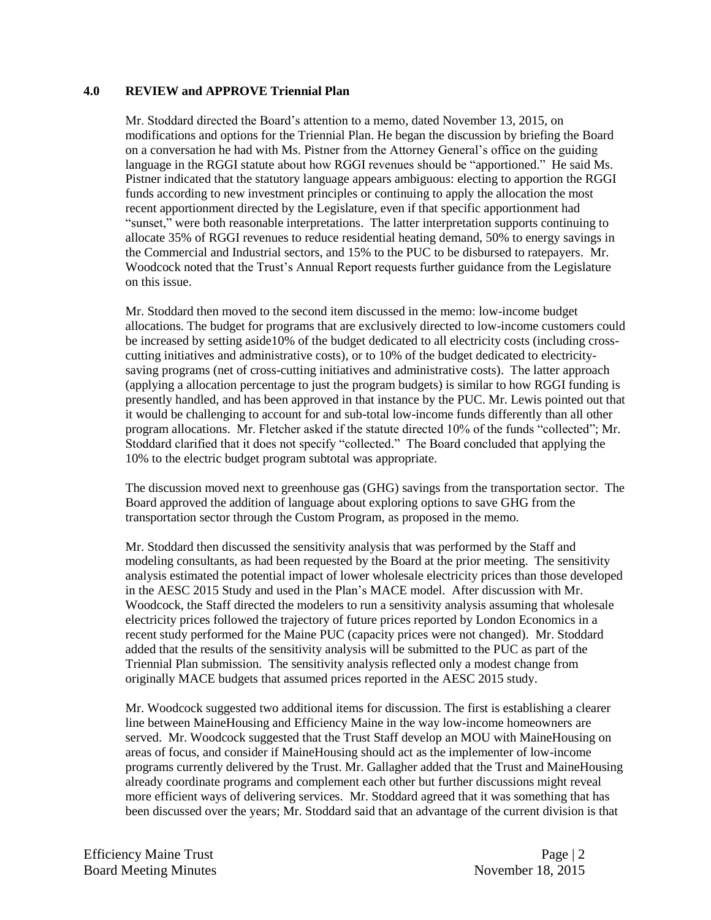#### **4.0 REVIEW and APPROVE Triennial Plan**

Mr. Stoddard directed the Board's attention to a memo, dated November 13, 2015, on modifications and options for the Triennial Plan. He began the discussion by briefing the Board on a conversation he had with Ms. Pistner from the Attorney General's office on the guiding language in the RGGI statute about how RGGI revenues should be "apportioned." He said Ms. Pistner indicated that the statutory language appears ambiguous: electing to apportion the RGGI funds according to new investment principles or continuing to apply the allocation the most recent apportionment directed by the Legislature, even if that specific apportionment had "sunset," were both reasonable interpretations. The latter interpretation supports continuing to allocate 35% of RGGI revenues to reduce residential heating demand, 50% to energy savings in the Commercial and Industrial sectors, and 15% to the PUC to be disbursed to ratepayers. Mr. Woodcock noted that the Trust's Annual Report requests further guidance from the Legislature on this issue.

Mr. Stoddard then moved to the second item discussed in the memo: low-income budget allocations. The budget for programs that are exclusively directed to low-income customers could be increased by setting aside10% of the budget dedicated to all electricity costs (including crosscutting initiatives and administrative costs), or to 10% of the budget dedicated to electricitysaving programs (net of cross-cutting initiatives and administrative costs). The latter approach (applying a allocation percentage to just the program budgets) is similar to how RGGI funding is presently handled, and has been approved in that instance by the PUC. Mr. Lewis pointed out that it would be challenging to account for and sub-total low-income funds differently than all other program allocations. Mr. Fletcher asked if the statute directed 10% of the funds "collected"; Mr. Stoddard clarified that it does not specify "collected." The Board concluded that applying the 10% to the electric budget program subtotal was appropriate.

The discussion moved next to greenhouse gas (GHG) savings from the transportation sector. The Board approved the addition of language about exploring options to save GHG from the transportation sector through the Custom Program, as proposed in the memo.

Mr. Stoddard then discussed the sensitivity analysis that was performed by the Staff and modeling consultants, as had been requested by the Board at the prior meeting. The sensitivity analysis estimated the potential impact of lower wholesale electricity prices than those developed in the AESC 2015 Study and used in the Plan's MACE model. After discussion with Mr. Woodcock, the Staff directed the modelers to run a sensitivity analysis assuming that wholesale electricity prices followed the trajectory of future prices reported by London Economics in a recent study performed for the Maine PUC (capacity prices were not changed). Mr. Stoddard added that the results of the sensitivity analysis will be submitted to the PUC as part of the Triennial Plan submission. The sensitivity analysis reflected only a modest change from originally MACE budgets that assumed prices reported in the AESC 2015 study.

Mr. Woodcock suggested two additional items for discussion. The first is establishing a clearer line between MaineHousing and Efficiency Maine in the way low-income homeowners are served. Mr. Woodcock suggested that the Trust Staff develop an MOU with MaineHousing on areas of focus, and consider if MaineHousing should act as the implementer of low-income programs currently delivered by the Trust. Mr. Gallagher added that the Trust and MaineHousing already coordinate programs and complement each other but further discussions might reveal more efficient ways of delivering services. Mr. Stoddard agreed that it was something that has been discussed over the years; Mr. Stoddard said that an advantage of the current division is that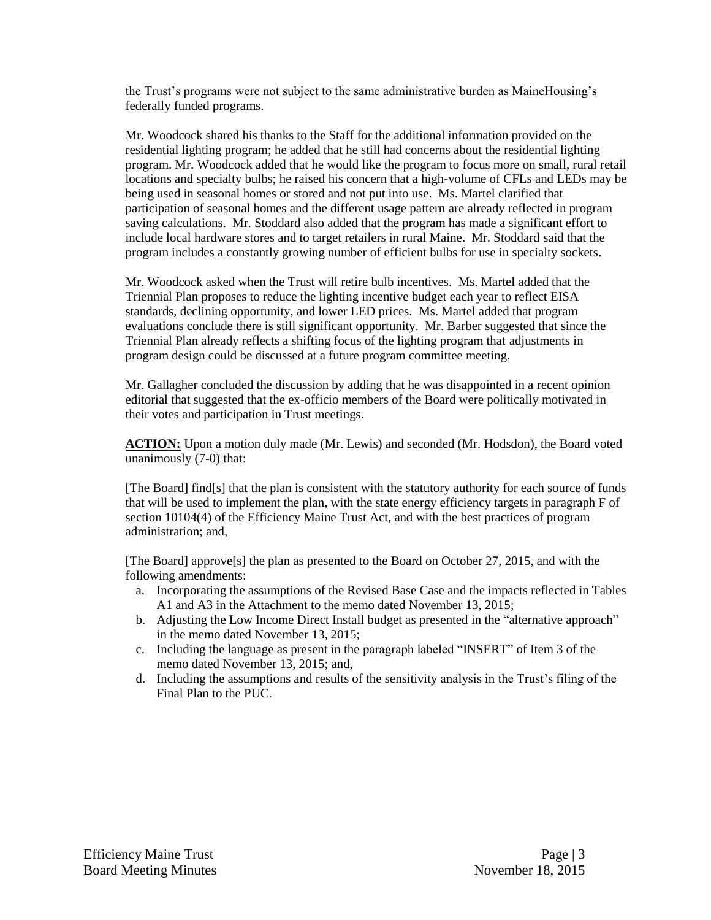the Trust's programs were not subject to the same administrative burden as MaineHousing's federally funded programs.

Mr. Woodcock shared his thanks to the Staff for the additional information provided on the residential lighting program; he added that he still had concerns about the residential lighting program. Mr. Woodcock added that he would like the program to focus more on small, rural retail locations and specialty bulbs; he raised his concern that a high-volume of CFLs and LEDs may be being used in seasonal homes or stored and not put into use. Ms. Martel clarified that participation of seasonal homes and the different usage pattern are already reflected in program saving calculations. Mr. Stoddard also added that the program has made a significant effort to include local hardware stores and to target retailers in rural Maine. Mr. Stoddard said that the program includes a constantly growing number of efficient bulbs for use in specialty sockets.

Mr. Woodcock asked when the Trust will retire bulb incentives. Ms. Martel added that the Triennial Plan proposes to reduce the lighting incentive budget each year to reflect EISA standards, declining opportunity, and lower LED prices. Ms. Martel added that program evaluations conclude there is still significant opportunity. Mr. Barber suggested that since the Triennial Plan already reflects a shifting focus of the lighting program that adjustments in program design could be discussed at a future program committee meeting.

Mr. Gallagher concluded the discussion by adding that he was disappointed in a recent opinion editorial that suggested that the ex-officio members of the Board were politically motivated in their votes and participation in Trust meetings.

**ACTION:** Upon a motion duly made (Mr. Lewis) and seconded (Mr. Hodsdon), the Board voted unanimously (7-0) that:

[The Board] find[s] that the plan is consistent with the statutory authority for each source of funds that will be used to implement the plan, with the state energy efficiency targets in paragraph F of section 10104(4) of the Efficiency Maine Trust Act, and with the best practices of program administration; and,

[The Board] approve[s] the plan as presented to the Board on October 27, 2015, and with the following amendments:

- a. Incorporating the assumptions of the Revised Base Case and the impacts reflected in Tables A1 and A3 in the Attachment to the memo dated November 13, 2015;
- b. Adjusting the Low Income Direct Install budget as presented in the "alternative approach" in the memo dated November 13, 2015;
- c. Including the language as present in the paragraph labeled "INSERT" of Item 3 of the memo dated November 13, 2015; and,
- d. Including the assumptions and results of the sensitivity analysis in the Trust's filing of the Final Plan to the PUC.